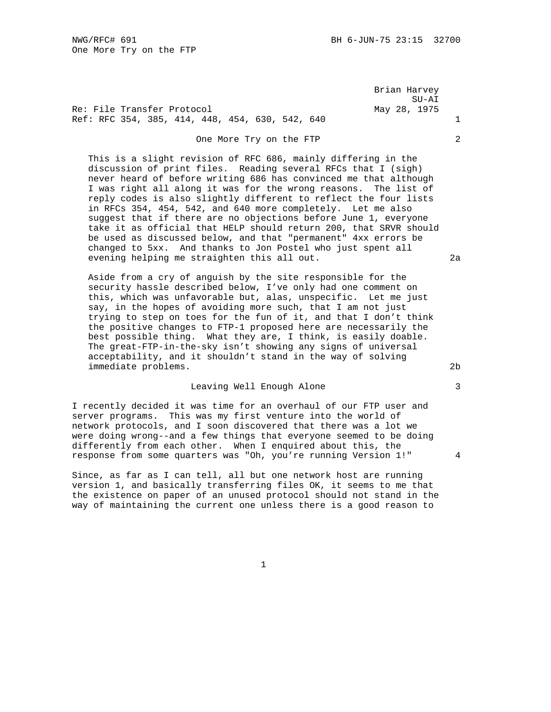Brian Harvey SU-AI

Re: File Transfer Protocol May 28, 1975 Ref: RFC 354, 385, 414, 448, 454, 630, 542, 640 1

## One More Try on the FTP 2

 This is a slight revision of RFC 686, mainly differing in the discussion of print files. Reading several RFCs that I (sigh) never heard of before writing 686 has convinced me that although I was right all along it was for the wrong reasons. The list of reply codes is also slightly different to reflect the four lists in RFCs 354, 454, 542, and 640 more completely. Let me also suggest that if there are no objections before June 1, everyone take it as official that HELP should return 200, that SRVR should be used as discussed below, and that "permanent" 4xx errors be changed to 5xx. And thanks to Jon Postel who just spent all evening helping me straighten this all out. 2a

 Aside from a cry of anguish by the site responsible for the security hassle described below, I've only had one comment on this, which was unfavorable but, alas, unspecific. Let me just say, in the hopes of avoiding more such, that I am not just trying to step on toes for the fun of it, and that I don't think the positive changes to FTP-1 proposed here are necessarily the best possible thing. What they are, I think, is easily doable. The great-FTP-in-the-sky isn't showing any signs of universal acceptability, and it shouldn't stand in the way of solving immediate problems. 2b

## Leaving Well Enough Alone 3

I recently decided it was time for an overhaul of our FTP user and server programs. This was my first venture into the world of network protocols, and I soon discovered that there was a lot we were doing wrong--and a few things that everyone seemed to be doing differently from each other. When I enquired about this, the response from some quarters was "Oh, you're running Version 1!" 4

Since, as far as I can tell, all but one network host are running version 1, and basically transferring files OK, it seems to me that the existence on paper of an unused protocol should not stand in the way of maintaining the current one unless there is a good reason to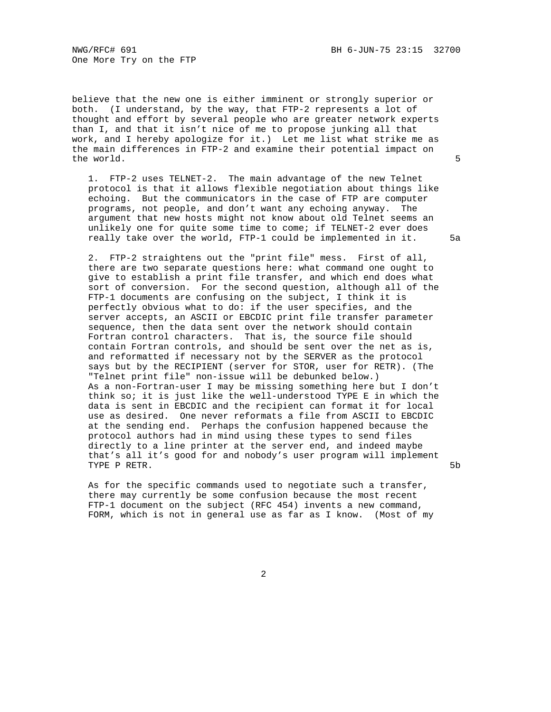One More Try on the FTP

believe that the new one is either imminent or strongly superior or both. (I understand, by the way, that FTP-2 represents a lot of thought and effort by several people who are greater network experts than I, and that it isn't nice of me to propose junking all that work, and I hereby apologize for it.) Let me list what strike me as the main differences in FTP-2 and examine their potential impact on the world. 5

 1. FTP-2 uses TELNET-2. The main advantage of the new Telnet protocol is that it allows flexible negotiation about things like echoing. But the communicators in the case of FTP are computer programs, not people, and don't want any echoing anyway. The argument that new hosts might not know about old Telnet seems an unlikely one for quite some time to come; if TELNET-2 ever does really take over the world, FTP-1 could be implemented in it. 5a

 2. FTP-2 straightens out the "print file" mess. First of all, there are two separate questions here: what command one ought to give to establish a print file transfer, and which end does what sort of conversion. For the second question, although all of the FTP-1 documents are confusing on the subject, I think it is perfectly obvious what to do: if the user specifies, and the server accepts, an ASCII or EBCDIC print file transfer parameter sequence, then the data sent over the network should contain Fortran control characters. That is, the source file should contain Fortran controls, and should be sent over the net as is, and reformatted if necessary not by the SERVER as the protocol says but by the RECIPIENT (server for STOR, user for RETR). (The "Telnet print file" non-issue will be debunked below.) As a non-Fortran-user I may be missing something here but I don't think so; it is just like the well-understood TYPE E in which the data is sent in EBCDIC and the recipient can format it for local use as desired. One never reformats a file from ASCII to EBCDIC at the sending end. Perhaps the confusion happened because the protocol authors had in mind using these types to send files directly to a line printer at the server end, and indeed maybe that's all it's good for and nobody's user program will implement TYPE P RETR. 5b

 As for the specific commands used to negotiate such a transfer, there may currently be some confusion because the most recent FTP-1 document on the subject (RFC 454) invents a new command, FORM, which is not in general use as far as I know. (Most of my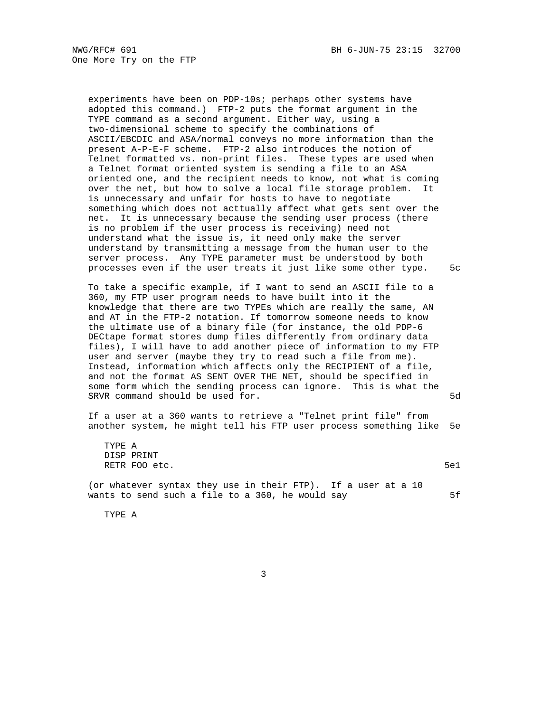experiments have been on PDP-10s; perhaps other systems have adopted this command.) FTP-2 puts the format argument in the TYPE command as a second argument. Either way, using a two-dimensional scheme to specify the combinations of ASCII/EBCDIC and ASA/normal conveys no more information than the present A-P-E-F scheme. FTP-2 also introduces the notion of Telnet formatted vs. non-print files. These types are used when a Telnet format oriented system is sending a file to an ASA oriented one, and the recipient needs to know, not what is coming over the net, but how to solve a local file storage problem. It is unnecessary and unfair for hosts to have to negotiate something which does not acttually affect what gets sent over the net. It is unnecessary because the sending user process (there is no problem if the user process is receiving) need not understand what the issue is, it need only make the server understand by transmitting a message from the human user to the server process. Any TYPE parameter must be understood by both processes even if the user treats it just like some other type. 5c

 To take a specific example, if I want to send an ASCII file to a 360, my FTP user program needs to have built into it the knowledge that there are two TYPEs which are really the same, AN and AT in the FTP-2 notation. If tomorrow someone needs to know the ultimate use of a binary file (for instance, the old PDP-6 DECtape format stores dump files differently from ordinary data files), I will have to add another piece of information to my FTP user and server (maybe they try to read such a file from me). Instead, information which affects only the RECIPIENT of a file, and not the format AS SENT OVER THE NET, should be specified in some form which the sending process can ignore. This is what the SRVR command should be used for. 5d

 If a user at a 360 wants to retrieve a "Telnet print file" from another system, he might tell his FTP user process something like 5e

| TYPE A                                                        |      |
|---------------------------------------------------------------|------|
| DISP PRINT                                                    |      |
| RETR FOO etc.                                                 | 5e 1 |
|                                                               |      |
| (or whatever syntax they use in their FTP). If a user at a 10 |      |
| wants to send such a file to a 360, he would say              | 5f   |

TYPE A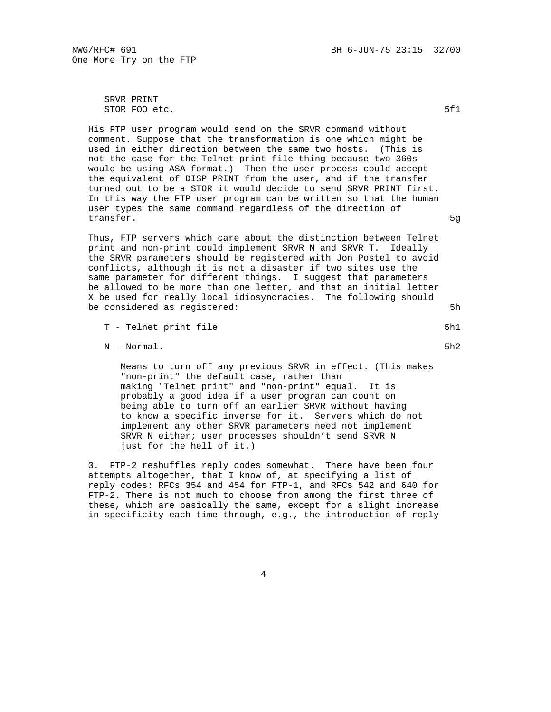NWG/RFC# 691 6-JUN-75 23:15 32700

One More Try on the FTP

 SRVR PRINT STOR FOO etc. 5f1

 His FTP user program would send on the SRVR command without comment. Suppose that the transformation is one which might be used in either direction between the same two hosts. (This is not the case for the Telnet print file thing because two 360s would be using ASA format.) Then the user process could accept the equivalent of DISP PRINT from the user, and if the transfer turned out to be a STOR it would decide to send SRVR PRINT first. In this way the FTP user program can be written so that the human user types the same command regardless of the direction of transfer. 59

 Thus, FTP servers which care about the distinction between Telnet print and non-print could implement SRVR N and SRVR T. Ideally the SRVR parameters should be registered with Jon Postel to avoid conflicts, although it is not a disaster if two sites use the same parameter for different things. I suggest that parameters be allowed to be more than one letter, and that an initial letter X be used for really local idiosyncracies. The following should be considered as registered: 5h

N - Normal. 5h2

 Means to turn off any previous SRVR in effect. (This makes "non-print" the default case, rather than making "Telnet print" and "non-print" equal. It is probably a good idea if a user program can count on being able to turn off an earlier SRVR without having to know a specific inverse for it. Servers which do not implement any other SRVR parameters need not implement SRVR N either; user processes shouldn't send SRVR N just for the hell of it.)

 3. FTP-2 reshuffles reply codes somewhat. There have been four attempts altogether, that I know of, at specifying a list of reply codes: RFCs 354 and 454 for FTP-1, and RFCs 542 and 640 for FTP-2. There is not much to choose from among the first three of these, which are basically the same, except for a slight increase in specificity each time through, e.g., the introduction of reply

T - Telnet print file 5h1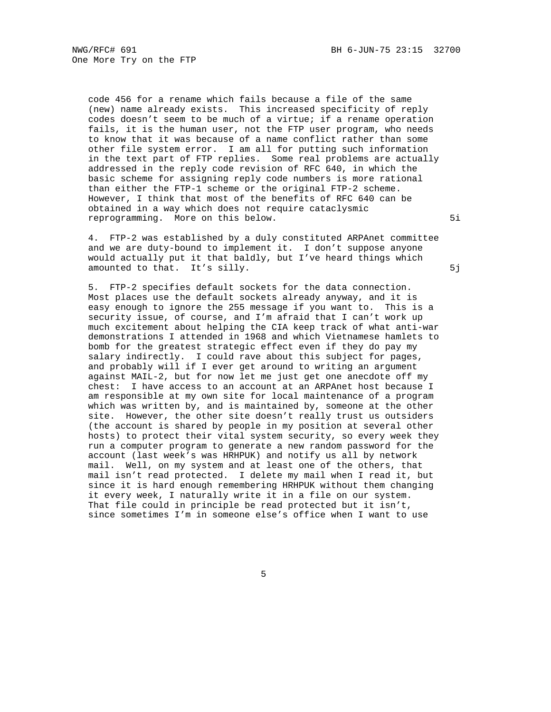code 456 for a rename which fails because a file of the same (new) name already exists. This increased specificity of reply codes doesn't seem to be much of a virtue; if a rename operation fails, it is the human user, not the FTP user program, who needs to know that it was because of a name conflict rather than some other file system error. I am all for putting such information in the text part of FTP replies. Some real problems are actually addressed in the reply code revision of RFC 640, in which the basic scheme for assigning reply code numbers is more rational than either the FTP-1 scheme or the original FTP-2 scheme. However, I think that most of the benefits of RFC 640 can be obtained in a way which does not require cataclysmic reprogramming. More on this below. 51

 4. FTP-2 was established by a duly constituted ARPAnet committee and we are duty-bound to implement it. I don't suppose anyone would actually put it that baldly, but I've heard things which amounted to that. It's silly. The same state of the state of the state of the state of the state of the state o

 5. FTP-2 specifies default sockets for the data connection. Most places use the default sockets already anyway, and it is easy enough to ignore the 255 message if you want to. This is a security issue, of course, and I'm afraid that I can't work up much excitement about helping the CIA keep track of what anti-war demonstrations I attended in 1968 and which Vietnamese hamlets to bomb for the greatest strategic effect even if they do pay my salary indirectly. I could rave about this subject for pages, and probably will if I ever get around to writing an argument against MAIL-2, but for now let me just get one anecdote off my chest: I have access to an account at an ARPAnet host because I am responsible at my own site for local maintenance of a program which was written by, and is maintained by, someone at the other site. However, the other site doesn't really trust us outsiders (the account is shared by people in my position at several other hosts) to protect their vital system security, so every week they run a computer program to generate a new random password for the account (last week's was HRHPUK) and notify us all by network mail. Well, on my system and at least one of the others, that mail isn't read protected. I delete my mail when I read it, but since it is hard enough remembering HRHPUK without them changing it every week, I naturally write it in a file on our system. That file could in principle be read protected but it isn't, since sometimes I'm in someone else's office when I want to use

 $\sim$  5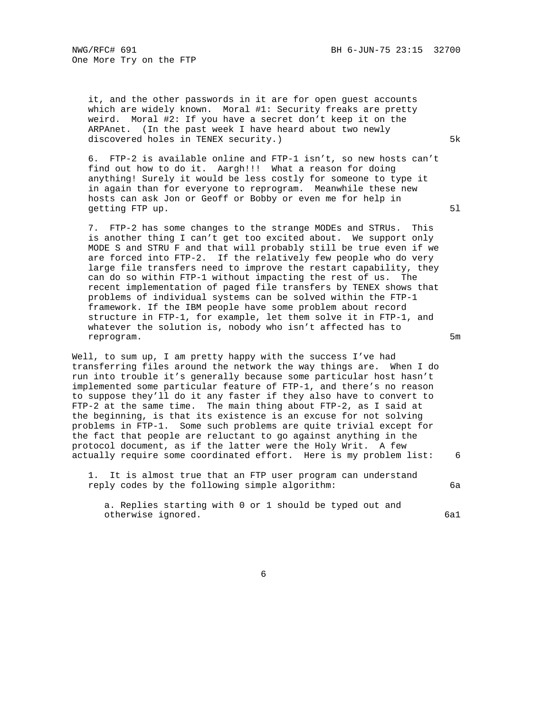it, and the other passwords in it are for open guest accounts which are widely known. Moral #1: Security freaks are pretty weird. Moral #2: If you have a secret don't keep it on the ARPAnet. (In the past week I have heard about two newly discovered holes in TENEX security.) 5k

 6. FTP-2 is available online and FTP-1 isn't, so new hosts can't find out how to do it. Aargh!!! What a reason for doing anything! Surely it would be less costly for someone to type it in again than for everyone to reprogram. Meanwhile these new hosts can ask Jon or Geoff or Bobby or even me for help in getting FTP up. 51

 7. FTP-2 has some changes to the strange MODEs and STRUs. This is another thing I can't get too excited about. We support only MODE S and STRU F and that will probably still be true even if we are forced into FTP-2. If the relatively few people who do very large file transfers need to improve the restart capability, they can do so within FTP-1 without impacting the rest of us. The recent implementation of paged file transfers by TENEX shows that problems of individual systems can be solved within the FTP-1 framework. If the IBM people have some problem about record structure in FTP-1, for example, let them solve it in FTP-1, and whatever the solution is, nobody who isn't affected has to reprogram. 5m

Well, to sum up, I am pretty happy with the success I've had transferring files around the network the way things are. When I do run into trouble it's generally because some particular host hasn't implemented some particular feature of FTP-1, and there's no reason to suppose they'll do it any faster if they also have to convert to FTP-2 at the same time. The main thing about FTP-2, as I said at the beginning, is that its existence is an excuse for not solving problems in FTP-1. Some such problems are quite trivial except for the fact that people are reluctant to go against anything in the protocol document, as if the latter were the Holy Writ. A few actually require some coordinated effort. Here is my problem list: 6

 1. It is almost true that an FTP user program can understand reply codes by the following simple algorithm: 6a

 a. Replies starting with 0 or 1 should be typed out and otherwise ignored. 6a1

 $\sim$  6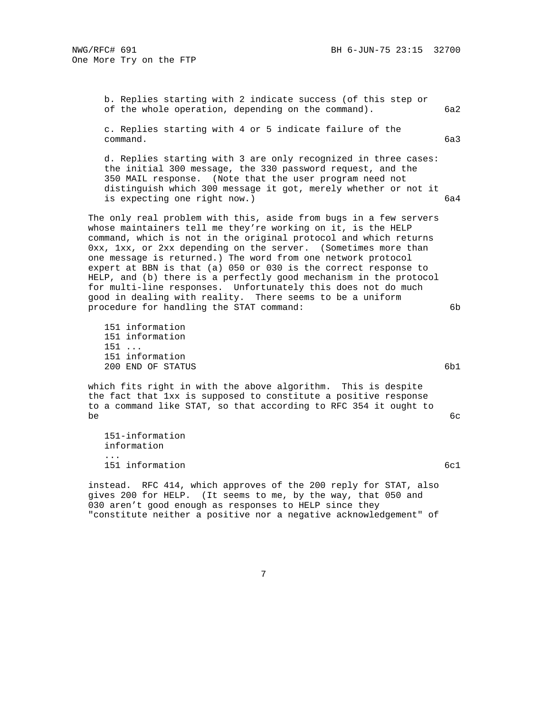b. Replies starting with 2 indicate success (of this step or of the whole operation, depending on the command). 6a2 c. Replies starting with 4 or 5 indicate failure of the command. 6a3 d. Replies starting with 3 are only recognized in three cases: the initial 300 message, the 330 password request, and the 350 MAIL response. (Note that the user program need not distinguish which 300 message it got, merely whether or not it is expecting one right now.) 6a4 The only real problem with this, aside from bugs in a few servers whose maintainers tell me they're working on it, is the HELP command, which is not in the original protocol and which returns 0xx, 1xx, or 2xx depending on the server. (Sometimes more than one message is returned.) The word from one network protocol expert at BBN is that (a) 050 or 030 is the correct response to HELP, and (b) there is a perfectly good mechanism in the protocol for multi-line responses. Unfortunately this does not do much good in dealing with reality. There seems to be a uniform procedure for handling the STAT command: 6b 151 information 151 information 151 ... 151 information 200 END OF STATUS 6b1 which fits right in with the above algorithm. This is despite the fact that 1xx is supposed to constitute a positive response to a command like STAT, so that according to RFC 354 it ought to  $\epsilon$  6cm  $\epsilon$  6cm  $\epsilon$  6cm  $\epsilon$  6cm  $\epsilon$  6cm  $\epsilon$  6cm  $\epsilon$  6cm  $\epsilon$  6cm  $\epsilon$  6cm  $\epsilon$  6cm  $\epsilon$  6cm  $\epsilon$  6cm  $\epsilon$  6cm  $\epsilon$  6cm  $\epsilon$  6cm  $\epsilon$  6cm  $\epsilon$  6cm  $\epsilon$  6cm  $\epsilon$  6cm  $\epsilon$  6cm  $\epsilon$  6cm  $\epsilon$  6cm  $\epsilon$  6cm  $\epsilon$  6cm  $\epsilon$  151-information information ... 151 information 6cl

 instead. RFC 414, which approves of the 200 reply for STAT, also gives 200 for HELP. (It seems to me, by the way, that 050 and 030 aren't good enough as responses to HELP since they "constitute neither a positive nor a negative acknowledgement" of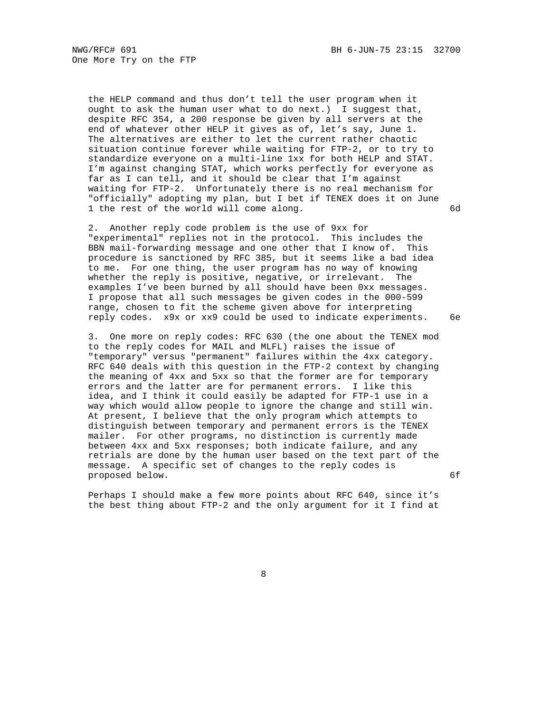One More Try on the FTP

 the HELP command and thus don't tell the user program when it ought to ask the human user what to do next.) I suggest that, despite RFC 354, a 200 response be given by all servers at the end of whatever other HELP it gives as of, let's say, June 1. The alternatives are either to let the current rather chaotic situation continue forever while waiting for FTP-2, or to try to standardize everyone on a multi-line 1xx for both HELP and STAT. I'm against changing STAT, which works perfectly for everyone as far as I can tell, and it should be clear that I'm against waiting for FTP-2. Unfortunately there is no real mechanism for "officially" adopting my plan, but I bet if TENEX does it on June 1 the rest of the world will come along. 6d

 2. Another reply code problem is the use of 9xx for "experimental" replies not in the protocol. This includes the BBN mail-forwarding message and one other that I know of. This procedure is sanctioned by RFC 385, but it seems like a bad idea to me. For one thing, the user program has no way of knowing whether the reply is positive, negative, or irrelevant. The examples I've been burned by all should have been 0xx messages. I propose that all such messages be given codes in the 000-599 range, chosen to fit the scheme given above for interpreting reply codes. x9x or xx9 could be used to indicate experiments. 6e

 3. One more on reply codes: RFC 630 (the one about the TENEX mod to the reply codes for MAIL and MLFL) raises the issue of "temporary" versus "permanent" failures within the 4xx category. RFC 640 deals with this question in the FTP-2 context by changing the meaning of 4xx and 5xx so that the former are for temporary errors and the latter are for permanent errors. I like this idea, and I think it could easily be adapted for FTP-1 use in a way which would allow people to ignore the change and still win. At present, I believe that the only program which attempts to distinguish between temporary and permanent errors is the TENEX mailer. For other programs, no distinction is currently made between 4xx and 5xx responses; both indicate failure, and any retrials are done by the human user based on the text part of the message. A specific set of changes to the reply codes is proposed below. 6f

 Perhaps I should make a few more points about RFC 640, since it's the best thing about FTP-2 and the only argument for it I find at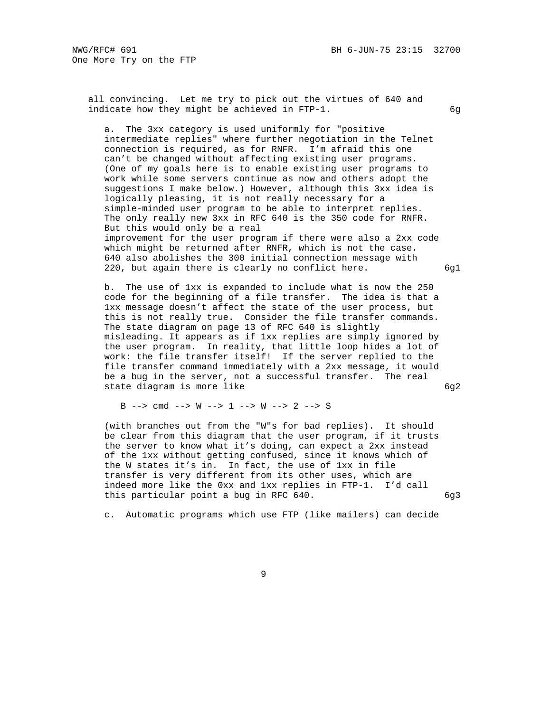all convincing. Let me try to pick out the virtues of 640 and indicate how they might be achieved in FTP-1. 6g

 a. The 3xx category is used uniformly for "positive intermediate replies" where further negotiation in the Telnet connection is required, as for RNFR. I'm afraid this one can't be changed without affecting existing user programs. (One of my goals here is to enable existing user programs to work while some servers continue as now and others adopt the suggestions I make below.) However, although this 3xx idea is logically pleasing, it is not really necessary for a simple-minded user program to be able to interpret replies. The only really new 3xx in RFC 640 is the 350 code for RNFR. But this would only be a real improvement for the user program if there were also a 2xx code which might be returned after RNFR, which is not the case. 640 also abolishes the 300 initial connection message with 220, but again there is clearly no conflict here.  $6g1$ 

 b. The use of 1xx is expanded to include what is now the 250 code for the beginning of a file transfer. The idea is that a 1xx message doesn't affect the state of the user process, but this is not really true. Consider the file transfer commands. The state diagram on page 13 of RFC 640 is slightly misleading. It appears as if 1xx replies are simply ignored by the user program. In reality, that little loop hides a lot of work: the file transfer itself! If the server replied to the file transfer command immediately with a 2xx message, it would be a bug in the server, not a successful transfer. The real state diagram is more like 6g2

B --> cmd --> W --> 1 --> W --> 2 --> S

 (with branches out from the "W"s for bad replies). It should be clear from this diagram that the user program, if it trusts the server to know what it's doing, can expect a 2xx instead of the 1xx without getting confused, since it knows which of the W states it's in. In fact, the use of 1xx in file transfer is very different from its other uses, which are indeed more like the 0xx and 1xx replies in FTP-1. I'd call this particular point a bug in RFC 640.

c. Automatic programs which use FTP (like mailers) can decide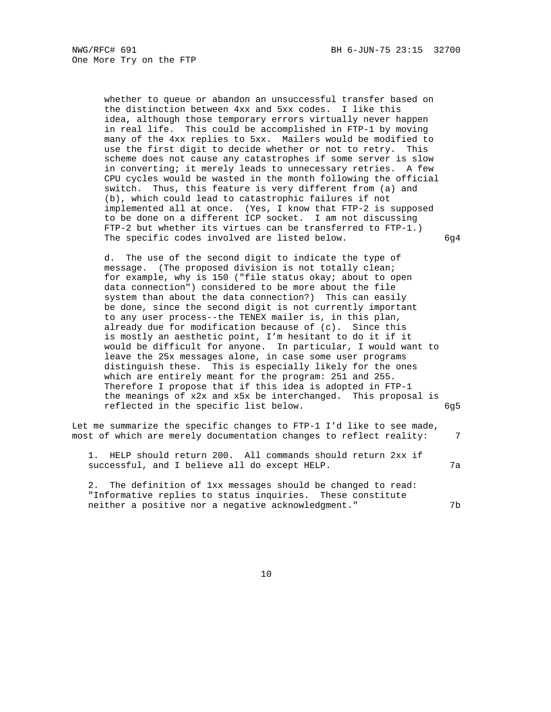whether to queue or abandon an unsuccessful transfer based on the distinction between 4xx and 5xx codes. I like this idea, although those temporary errors virtually never happen in real life. This could be accomplished in FTP-1 by moving many of the 4xx replies to 5xx. Mailers would be modified to use the first digit to decide whether or not to retry. This scheme does not cause any catastrophes if some server is slow in converting; it merely leads to unnecessary retries. A few CPU cycles would be wasted in the month following the official switch. Thus, this feature is very different from (a) and (b), which could lead to catastrophic failures if not implemented all at once. (Yes, I know that FTP-2 is supposed to be done on a different ICP socket. I am not discussing FTP-2 but whether its virtues can be transferred to FTP-1.) The specific codes involved are listed below. 6g4

 d. The use of the second digit to indicate the type of message. (The proposed division is not totally clean; for example, why is 150 ("file status okay; about to open data connection") considered to be more about the file system than about the data connection?) This can easily be done, since the second digit is not currently important to any user process--the TENEX mailer is, in this plan, already due for modification because of (c). Since this is mostly an aesthetic point, I'm hesitant to do it if it would be difficult for anyone. In particular, I would want to leave the 25x messages alone, in case some user programs distinguish these. This is especially likely for the ones which are entirely meant for the program: 251 and 255. Therefore I propose that if this idea is adopted in FTP-1 the meanings of x2x and x5x be interchanged. This proposal is reflected in the specific list below. 6g5

Let me summarize the specific changes to FTP-1 I'd like to see made, most of which are merely documentation changes to reflect reality: 7

 1. HELP should return 200. All commands should return 2xx if successful, and I believe all do except HELP.  $7a$ 

 2. The definition of 1xx messages should be changed to read: "Informative replies to status inquiries. These constitute neither a positive nor a negative acknowledgment." 7b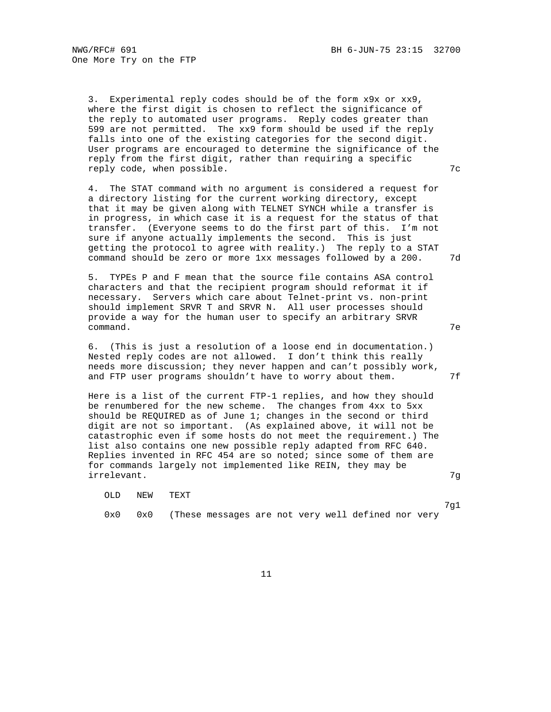One More Try on the FTP

 3. Experimental reply codes should be of the form x9x or xx9, where the first digit is chosen to reflect the significance of the reply to automated user programs. Reply codes greater than 599 are not permitted. The xx9 form should be used if the reply falls into one of the existing categories for the second digit. User programs are encouraged to determine the significance of the reply from the first digit, rather than requiring a specific reply code, when possible. The contract of the contract of the contract of the contract of the contract of the contract of the contract of the contract of the contract of the contract of the contract of the contract of the

 4. The STAT command with no argument is considered a request for a directory listing for the current working directory, except that it may be given along with TELNET SYNCH while a transfer is in progress, in which case it is a request for the status of that transfer. (Everyone seems to do the first part of this. I'm not sure if anyone actually implements the second. This is just getting the protocol to agree with reality.) The reply to a STAT command should be zero or more 1xx messages followed by a 200. 7d

 5. TYPEs P and F mean that the source file contains ASA control characters and that the recipient program should reformat it if necessary. Servers which care about Telnet-print vs. non-print should implement SRVR T and SRVR N. All user processes should provide a way for the human user to specify an arbitrary SRVR command. The command of the command of the command of the command of the command of the command of the community of the community of the community of the community of the community of the community of the community of the

 6. (This is just a resolution of a loose end in documentation.) Nested reply codes are not allowed. I don't think this really needs more discussion; they never happen and can't possibly work, and FTP user programs shouldn't have to worry about them.  $7f$ 

 Here is a list of the current FTP-1 replies, and how they should be renumbered for the new scheme. The changes from 4xx to 5xx should be REQUIRED as of June 1; changes in the second or third digit are not so important. (As explained above, it will not be catastrophic even if some hosts do not meet the requirement.) The list also contains one new possible reply adapted from RFC 640. Replies invented in RFC 454 are so noted; since some of them are for commands largely not implemented like REIN, they may be irrelevant. 7g

OLD NEW TEXT

7g1

0x0 0x0 (These messages are not very well defined nor very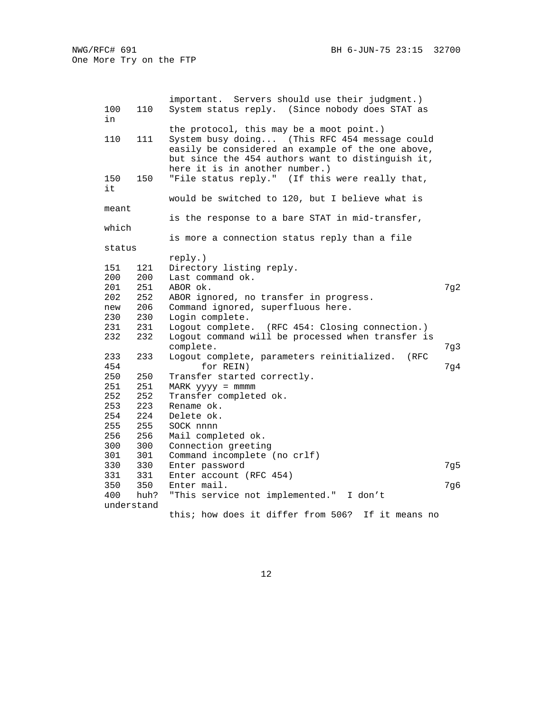| 100<br>in  | 110  | important. Servers should use their judgment.)<br>System status reply. (Since nobody does STAT as                                                                                         |     |
|------------|------|-------------------------------------------------------------------------------------------------------------------------------------------------------------------------------------------|-----|
|            |      | the protocol, this may be a moot point.)                                                                                                                                                  |     |
| 110        | 111  | System busy doing (This RFC 454 message could<br>easily be considered an example of the one above,<br>but since the 454 authors want to distinguish it,<br>here it is in another number.) |     |
| 150<br>it  | 150  | "File status reply." (If this were really that,                                                                                                                                           |     |
|            |      | would be switched to 120, but I believe what is                                                                                                                                           |     |
| meant      |      |                                                                                                                                                                                           |     |
|            |      | is the response to a bare STAT in mid-transfer,                                                                                                                                           |     |
| which      |      |                                                                                                                                                                                           |     |
|            |      | is more a connection status reply than a file                                                                                                                                             |     |
| status     |      |                                                                                                                                                                                           |     |
|            |      | reply.)                                                                                                                                                                                   |     |
| 151        | 121  | Directory listing reply.                                                                                                                                                                  |     |
| 200        | 200  | Last command ok.                                                                                                                                                                          |     |
| 201        | 251  | ABOR ok.                                                                                                                                                                                  | 7g2 |
| 202        | 252  | ABOR ignored, no transfer in progress.                                                                                                                                                    |     |
| new        | 206  | Command ignored, superfluous here.                                                                                                                                                        |     |
| 230        | 230  | Login complete.                                                                                                                                                                           |     |
| 231        | 231  | Logout complete. (RFC 454: Closing connection.)                                                                                                                                           |     |
| 232        | 232  | Logout command will be processed when transfer is<br>complete.                                                                                                                            | 7g3 |
| 233        | 233  | Logout complete, parameters reinitialized.<br>(RFC                                                                                                                                        |     |
| 454        |      | for REIN)                                                                                                                                                                                 | 7g4 |
| 250        | 250  | Transfer started correctly.                                                                                                                                                               |     |
| 251        | 251  | $MARK$ $yyyy = mmmm$                                                                                                                                                                      |     |
| 252        | 252  | Transfer completed ok.                                                                                                                                                                    |     |
| 253        | 223  | Rename ok.                                                                                                                                                                                |     |
| 254        | 224  | Delete ok.                                                                                                                                                                                |     |
| 255        | 255  | SOCK nnnn                                                                                                                                                                                 |     |
| 256        | 256  | Mail completed ok.                                                                                                                                                                        |     |
| 300        | 300  | Connection greeting                                                                                                                                                                       |     |
| 301        | 301  | Command incomplete (no crlf)                                                                                                                                                              |     |
| 330        | 330  | Enter password                                                                                                                                                                            | 7g5 |
| 331        | 331  | Enter account (RFC 454)                                                                                                                                                                   |     |
| 350        | 350  | Enter mail.                                                                                                                                                                               | 7g6 |
| 400        | huh? | "This service not implemented." I don't                                                                                                                                                   |     |
| understand |      |                                                                                                                                                                                           |     |
|            |      | this; how does it differ from 506?<br>If it means no                                                                                                                                      |     |